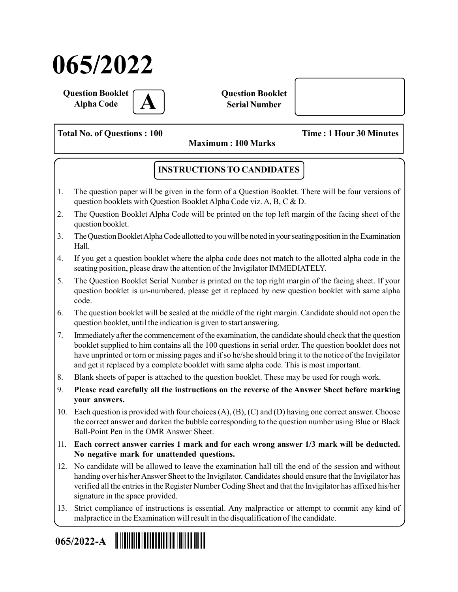# 065/2022

Question Booklet **Alpha Code** 

Question Booklet Serial Number

Total No. of Questions : 100 Time : 1 Hour 30 Minutes

Maximum : 100 Marks

## INSTRUCTIONS TO CANDIDATES

- 1. The question paper will be given in the form of a Question Booklet. There will be four versions of question booklets with Question Booklet Alpha Code viz. A, B, C & D.
- 2. The Question Booklet Alpha Code will be printed on the top left margin of the facing sheet of the question booklet.
- 3. The Question Booklet Alpha Code allotted to you will be noted in your seating position in the Examination Hall.
- 4. If you get a question booklet where the alpha code does not match to the allotted alpha code in the seating position, please draw the attention of the Invigilator IMMEDIATELY.
- 5. The Question Booklet Serial Number is printed on the top right margin of the facing sheet. If your question booklet is un-numbered, please get it replaced by new question booklet with same alpha code.
- 6. The question booklet will be sealed at the middle of the right margin. Candidate should not open the question booklet, until the indication is given to start answering.
- 7. Immediately after the commencement of the examination, the candidate should check that the question booklet supplied to him contains all the 100 questions in serial order. The question booklet does not have unprinted or torn or missing pages and if so he/she should bring it to the notice of the Invigilator and get it replaced by a complete booklet with same alpha code. This is most important.
- 8. Blank sheets of paper is attached to the question booklet. These may be used for rough work.
- 9. Please read carefully all the instructions on the reverse of the Answer Sheet before marking your answers.
- 10. Each question is provided with four choices (A), (B), (C) and (D) having one correct answer. Choose the correct answer and darken the bubble corresponding to the question number using Blue or Black Ball-Point Pen in the OMR Answer Sheet.
- 11. Each correct answer carries 1 mark and for each wrong answer 1/3 mark will be deducted. No negative mark for unattended questions.
- 12. No candidate will be allowed to leave the examination hall till the end of the session and without handing over his/her Answer Sheet to the Invigilator. Candidates should ensure that the Invigilator has verified all the entries in the Register Number Coding Sheet and that the Invigilator has affixed his/her signature in the space provided.
- 13. Strict compliance of instructions is essential. Any malpractice or attempt to commit any kind of malpractice in the Examination will result in the disqualification of the candidate.

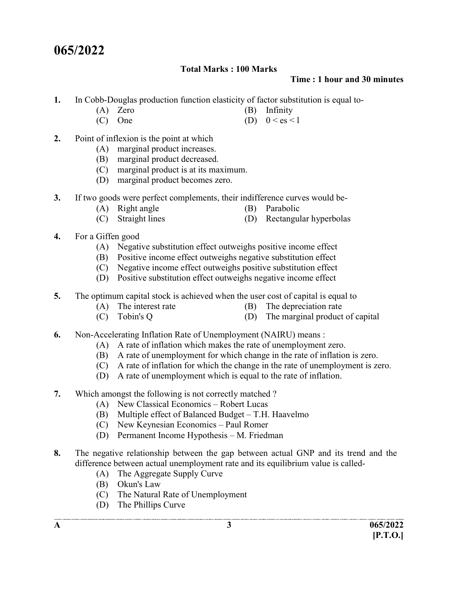# 065/2022

#### Total Marks : 100 Marks

#### Time : 1 hour and 30 minutes

- 1. In Cobb-Douglas production function elasticity of factor substitution is equal to-
	- (A) Zero (B) Infinity<br>
	(C) One (D)  $0 < \text{es} <$
	- (D)  $0 < \text{es} < 1$
- 2. Point of inflexion is the point at which
	- (A) marginal product increases.
	- (B) marginal product decreased.
	- (C) marginal product is at its maximum.
	- (D) marginal product becomes zero.
- 3. If two goods were perfect complements, their indifference curves would be-
	- (A) Right angle (B) Parabolic
	- (C) Straight lines (D) Rectangular hyperbolas
- 4. For a Giffen good
	- (A) Negative substitution effect outweighs positive income effect
	- (B) Positive income effect outweighs negative substitution effect
	- (C) Negative income effect outweighs positive substitution effect
	- (D) Positive substitution effect outweighs negative income effect
- 5. The optimum capital stock is achieved when the user cost of capital is equal to
	- (A) The interest rate (B) The depreciation rate
- - (C) Tobin's Q (D) The marginal product of capital
- 6. Non-Accelerating Inflation Rate of Unemployment (NAIRU) means :
	- (A) A rate of inflation which makes the rate of unemployment zero.
	- (B) A rate of unemployment for which change in the rate of inflation is zero.
	- (C) A rate of inflation for which the change in the rate of unemployment is zero.
	- (D) A rate of unemployment which is equal to the rate of inflation.
- 7. Which amongst the following is not correctly matched ?
	- (A) New Classical Economics Robert Lucas
	- (B) Multiple effect of Balanced Budget T.H. Haavelmo
	- (C) New Keynesian Economics Paul Romer
	- (D) Permanent Income Hypothesis M. Friedman
- 8. The negative relationship between the gap between actual GNP and its trend and the difference between actual unemployment rate and its equilibrium value is called-
	- (A) The Aggregate Supply Curve
	- (B) Okun's Law
	- (C) The Natural Rate of Unemployment
	- (D) The Phillips Curve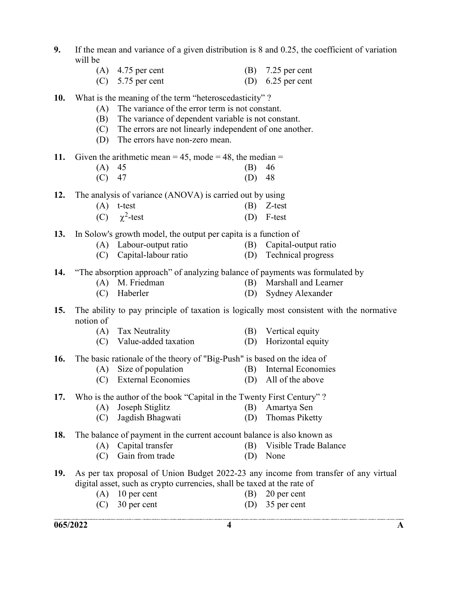- 9. If the mean and variance of a given distribution is 8 and 0.25, the coefficient of variation will be
	- (A) 4.75 per cent (B) 7.25 per cent (C)  $5.75$  per cent (D)  $6.25$  per cent
		-
- 10. What is the meaning of the term "heteroscedasticity" ?
	- (A) The variance of the error term is not constant.
		- (B) The variance of dependent variable is not constant.
		- (C) The errors are not linearly independent of one another.
		- (D) The errors have non-zero mean.

11. Given the arithmetic mean  $= 45$ , mode  $= 48$ , the median  $=$ 

 (A) 45 (B) 46 (C) 47 (D) 48

12. The analysis of variance (ANOVA) is carried out by using

- (A) t-test (B) Z-test
- (C)  $\gamma^2$ -test  $(D)$  F-test

13. In Solow's growth model, the output per capita is a function of

- (A) Labour-output ratio (B) Capital-output ratio
- (C) Capital-labour ratio (D) Technical progress

14. "The absorption approach" of analyzing balance of payments was formulated by

- (A) M. Friedman (B) Marshall and Learner
- (C) Haberler (D) Sydney Alexander
- 15. The ability to pay principle of taxation is logically most consistent with the normative notion of
	- (A) Tax Neutrality (B) Vertical equity
		-
	- (C) Value-added taxation (D) Horizontal equity

16. The basic rationale of the theory of "Big-Push" is based on the idea of

- (A) Size of population (B) Internal Economies
- (C) External Economies (D) All of the above
- -

#### 17. Who is the author of the book "Capital in the Twenty First Century" ?

- (A) Joseph Stiglitz (B) Amartya Sen
- (C) Jagdish Bhagwati (D) Thomas Piketty

18. The balance of payment in the current account balance is also known as

- (A) Capital transfer (B) Visible Trade Balance
- (C) Gain from trade (D) None
- 19. As per tax proposal of Union Budget 2022-23 any income from transfer of any virtual digital asset, such as crypto currencies, shall be taxed at the rate of
	- (A) 10 per cent (B) 20 per cent
		-
	- (C) 30 per cent (D) 35 per cent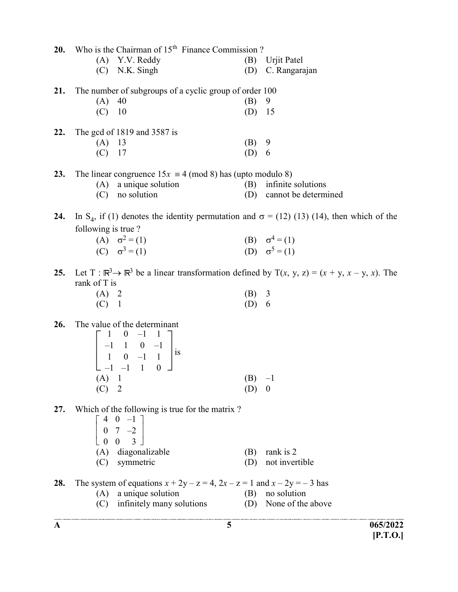| 20. |                    | Who is the Chairman of 15 <sup>th</sup> Finance Commission?                                                                                                              |                     |                                                                                                                  |
|-----|--------------------|--------------------------------------------------------------------------------------------------------------------------------------------------------------------------|---------------------|------------------------------------------------------------------------------------------------------------------|
|     |                    | (A) Y.V. Reddy                                                                                                                                                           |                     | (B) Urjit Patel                                                                                                  |
|     |                    | $(C)$ N.K. Singh                                                                                                                                                         |                     | (D) C. Rangarajan                                                                                                |
| 21. |                    | The number of subgroups of a cyclic group of order 100                                                                                                                   |                     |                                                                                                                  |
|     | $(A)$ 40           |                                                                                                                                                                          | (B)                 | 9                                                                                                                |
|     | $(C)$ 10           |                                                                                                                                                                          | $(D)$ 15            |                                                                                                                  |
| 22. |                    | The gcd of $1819$ and $3587$ is                                                                                                                                          |                     |                                                                                                                  |
|     | $(A)$ 13           |                                                                                                                                                                          | $(B)$ 9             |                                                                                                                  |
|     | $(C)$ 17           |                                                                                                                                                                          | (D) 6               |                                                                                                                  |
| 23. |                    | The linear congruence $15x \equiv 4 \pmod{8}$ has (upto modulo 8)                                                                                                        |                     |                                                                                                                  |
|     |                    | $(A)$ a unique solution                                                                                                                                                  |                     | (B) infinite solutions                                                                                           |
|     |                    | (C) no solution                                                                                                                                                          |                     | (D) cannot be determined                                                                                         |
| 24. | following is true? |                                                                                                                                                                          |                     | In S <sub>4</sub> , if (1) denotes the identity permutation and $\sigma$ = (12) (13) (14), then which of the     |
|     |                    | (A) $\sigma^2 = (1)$                                                                                                                                                     |                     |                                                                                                                  |
|     |                    | (C) $\sigma^3 = (1)$                                                                                                                                                     |                     | (B) $\sigma^4 = (1)$<br>(D) $\sigma^5 = (1)$                                                                     |
| 25. | rank of T is       |                                                                                                                                                                          |                     | Let T: $\mathbb{R}^3 \to \mathbb{R}^3$ be a linear transformation defined by T(x, y, z) = (x + y, x - y, x). The |
|     | (A) 2<br>(C) 1     |                                                                                                                                                                          | (B) 3<br>(D) 6      |                                                                                                                  |
|     |                    |                                                                                                                                                                          |                     |                                                                                                                  |
| 26. | $(A)$ 1<br>(C)     | The value of the determinant<br>$\left[\begin{array}{rrrr} 1 & 0 & -1 & 1 \\ -1 & 1 & 0 & -1 \\ 1 & 0 & -1 & 1 \\ 1 & 1 & 1 & 0 \end{array}\right]$ is<br>$\overline{2}$ | $(B) -1$<br>$(D)$ 0 |                                                                                                                  |
| 27. |                    | Which of the following is true for the matrix?<br>$\left[\begin{array}{ccc} 4 & 0 & -1 \\ 0 & 7 & -2 \\ 0 & 0 & 3 \end{array}\right]$<br>(A) diagonalizable              | (B)                 | rank is 2                                                                                                        |
|     |                    | (C) symmetric                                                                                                                                                            | (D)                 | not invertible                                                                                                   |
| 28. |                    | The system of equations $x + 2y - z = 4$ , $2x - z = 1$ and $x - 2y = -3$ has<br>(A) a unique solution                                                                   | (B)                 | no solution                                                                                                      |
|     | (C)                | infinitely many solutions                                                                                                                                                | (D)                 | None of the above                                                                                                |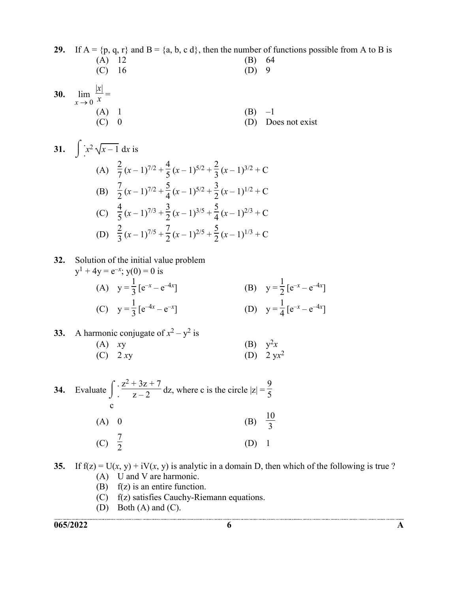29. If  $A = \{p, q, r\}$  and  $B = \{a, b, c, d\}$ , then the number of functions possible from A to B is (A) 12 (B) 64 (C) 16 (D) 9 30. lim  $x \rightarrow 0$  $|x|$  $\frac{x}{x} =$ (A) 1 (B)  $-1$ <br>(C) 0 (D) Dc (D) Does not exist

31. 
$$
\int x^2 \sqrt{x-1} dx \text{ is}
$$
  
\n(A) 
$$
\frac{2}{7} (x-1)^{7/2} + \frac{4}{5} (x-1)^{5/2} + \frac{2}{3} (x-1)^{3/2} + C
$$
  
\n(B) 
$$
\frac{7}{2} (x-1)^{7/2} + \frac{5}{4} (x-1)^{5/2} + \frac{3}{2} (x-1)^{1/2} + C
$$
  
\n(C) 
$$
\frac{4}{5} (x-1)^{7/3} + \frac{3}{2} (x-1)^{3/5} + \frac{5}{4} (x-1)^{2/3} + C
$$
  
\n(D) 
$$
\frac{2}{3} (x-1)^{7/5} + \frac{7}{2} (x-1)^{2/5} + \frac{5}{2} (x-1)^{1/3} + C
$$

32. Solution of the initial value problem

$$
y^{1} + 4y = e^{-x}; y(0) = 0 \text{ is}
$$
\n(A) 
$$
y = \frac{1}{3} [e^{-x} - e^{-4x}]
$$
\n(B) 
$$
y = \frac{1}{2} [e^{-x} - e^{-4x}]
$$
\n(C) 
$$
y = \frac{1}{3} [e^{-4x} - e^{-x}]
$$
\n(D) 
$$
y = \frac{1}{4} [e^{-x} - e^{-4x}]
$$

(B)  $y^2x$ 

33. A harmonic conjugate of 
$$
x^2 - y^2
$$
 is  
\n(A) xy  
\n(C) 2 xy  
\n(B)  $y^2x$   
\n(D) 2  $yx^2$ 

34. Evaluate 
$$
\int_{C} \frac{z^2 + 3z + 7}{z - 2} dz
$$
, where c is the circle  $|z| = \frac{9}{5}$   
\n(A) 0  
\n(B)  $\frac{10}{3}$   
\n(C)  $\frac{7}{2}$   
\n(D) 1

35. If  $f(z) = U(x, y) + iV(x, y)$  is analytic in a domain D, then which of the following is true ? (A) U and V are harmonic.

- (B)  $f(z)$  is an entire function.
- (C) f(z) satisfies Cauchy-Riemann equations.
- (D) Both (A) and (C).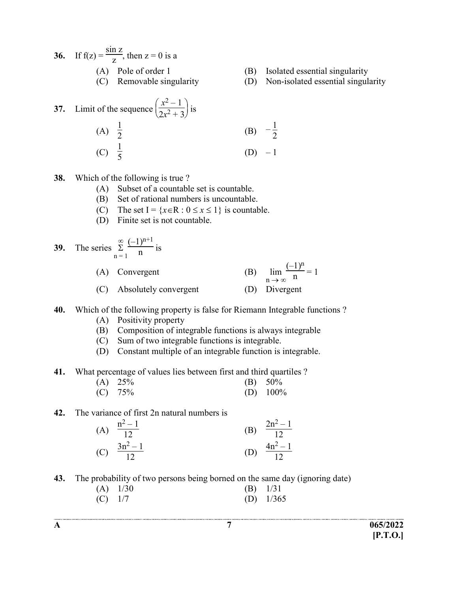36. If  $f(z) = \frac{\sin z}{z}$ , then  $z = 0$  is a (A) Pole of order 1 (B) Isolated essential singularity

- 
- (C) Removable singularity (D) Non-isolated essential singularity

= 1

37. Limit of the sequence 
$$
\left(\frac{x^2 - 1}{2x^2 + 3}\right)
$$
 is  
\n(A)  $\frac{1}{2}$  \n(B)  $-\frac{1}{2}$   
\n(C)  $\frac{1}{5}$  \n(D)  $-1$ 

#### 38. Which of the following is true ?

- (A) Subset of a countable set is countable.
- (B) Set of rational numbers is uncountable.
- (C) The set I =  $\{x \in \mathbb{R} : 0 \le x \le 1\}$  is countable.
- (D) Finite set is not countable.

39. The series 
$$
\sum_{n=1}^{\infty} \frac{(-1)^{n+1}}{n}
$$
 is  
\n(A) Convergent  
\n(B)  $\lim_{n \to \infty} \frac{(-1)^n}{n}$  =  
\n(C) Absolutely convergent  
\n(D) Divergent

- 40. Which of the following property is false for Riemann Integrable functions ?
	- (A) Positivity property
	- (B) Composition of integrable functions is always integrable
	- (C) Sum of two integrable functions is integrable.
	- (D) Constant multiple of an integrable function is integrable.
- 41. What percentage of values lies between first and third quartiles ?

| $(A)$ 25% | (B) $50\%$ |
|-----------|------------|
| $(C)$ 75% | $(D)$ 100% |

#### 42. The variance of first 2n natural numbers is

| (A) $\frac{n^2-1}{12}$  | (B) | $2n^2 - 1$<br>$\overline{12}$ |
|-------------------------|-----|-------------------------------|
| (C) $\frac{3n^2-1}{12}$ | (D) | $rac{4n^2-1}{12}$             |

43. The probability of two persons being borned on the same day (ignoring date)

|           | $(A)$ 1/30 | $(B)$ 1/31 |             |
|-----------|------------|------------|-------------|
| $(C)$ 1/7 |            |            | (D) $1/365$ |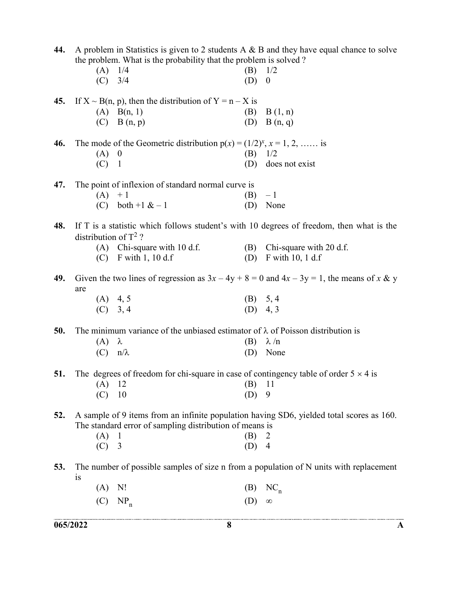|     | 065/2022                |                                                                                        | 8   | A                                                                                             |
|-----|-------------------------|----------------------------------------------------------------------------------------|-----|-----------------------------------------------------------------------------------------------|
|     | (C)                     | $NP_n$                                                                                 | (D) | $\infty$                                                                                      |
|     | (A)                     | N!                                                                                     | (B) | $NC_n$                                                                                        |
|     | is                      |                                                                                        |     |                                                                                               |
| 53. |                         |                                                                                        |     | The number of possible samples of size n from a population of N units with replacement        |
|     | (C)                     | $\overline{3}$                                                                         | (D) | $\overline{4}$                                                                                |
|     | (A)                     |                                                                                        | (B) | 2                                                                                             |
|     |                         | The standard error of sampling distribution of means is                                |     |                                                                                               |
| 52. |                         |                                                                                        |     | A sample of 9 items from an infinite population having SD6, yielded total scores as 160.      |
|     |                         |                                                                                        |     |                                                                                               |
|     |                         | 10                                                                                     | (D) | 9                                                                                             |
|     | (A)                     | 12                                                                                     | (B) | 11                                                                                            |
| 51. |                         |                                                                                        |     | The degrees of freedom for chi-square in case of contingency table of order $5 \times 4$ is   |
|     | $(C)$ $n/\lambda$       |                                                                                        | (D) | None                                                                                          |
|     | (A)                     | λ                                                                                      | (B) | $\lambda/n$                                                                                   |
| 50. |                         | The minimum variance of the unbiased estimator of $\lambda$ of Poisson distribution is |     |                                                                                               |
|     |                         |                                                                                        |     |                                                                                               |
|     |                         | (A) $4, 5$<br>(C) $3, 4$                                                               |     | $(D)$ 4, 3                                                                                    |
|     |                         |                                                                                        |     | (B) 5, 4                                                                                      |
| 49. | are                     |                                                                                        |     | Given the two lines of regression as $3x - 4y + 8 = 0$ and $4x - 3y = 1$ , the means of x & y |
|     |                         |                                                                                        |     |                                                                                               |
|     |                         | $(C)$ F with 1, 10 d.f                                                                 | (D) | $F$ with 10, 1 d.f                                                                            |
|     |                         | $(A)$ Chi-square with 10 d.f.                                                          |     | (B) Chi-square with 20 d.f.                                                                   |
|     | distribution of $T^2$ ? |                                                                                        |     |                                                                                               |
| 48. |                         |                                                                                        |     | If T is a statistic which follows student's with 10 degrees of freedom, then what is the      |
|     |                         |                                                                                        |     |                                                                                               |
|     | (C)                     | both $+1$ & $-1$                                                                       | (D) | None                                                                                          |
| 47. | (A)                     | The point of inflexion of standard normal curve is<br>$+1$                             | (B) | $-1$                                                                                          |
|     |                         |                                                                                        |     |                                                                                               |
|     | $(C)$ 1                 |                                                                                        | (D) | does not exist                                                                                |
|     | (A)                     | $\boldsymbol{0}$                                                                       | (B) | 1/2                                                                                           |
| 46. |                         | The mode of the Geometric distribution $p(x) = (1/2)^x$ , $x = 1, 2, \dots$ is         |     |                                                                                               |
|     |                         |                                                                                        |     |                                                                                               |
|     |                         | $(C)$ B $(n, p)$                                                                       |     | (D) $B(n, q)$                                                                                 |
| 45. |                         | If $X \sim B(n, p)$ , then the distribution of $Y = n - X$ is<br>$(A)$ B(n, 1)         | (B) | B(1, n)                                                                                       |
|     |                         |                                                                                        |     |                                                                                               |
|     | (C)                     | 3/4                                                                                    | (D) | $\boldsymbol{0}$                                                                              |
|     | (A)                     | 1/4                                                                                    | (B) | 1/2                                                                                           |
|     |                         | the problem. What is the probability that the problem is solved?                       |     |                                                                                               |
| 44. |                         |                                                                                        |     | A problem in Statistics is given to 2 students $A \& B$ and they have equal chance to solve   |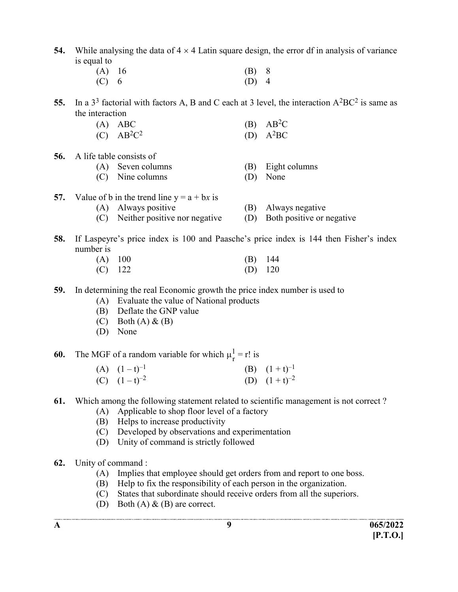54. While analysing the data of  $4 \times 4$  Latin square design, the error df in analysis of variance is equal to

| $(A)$ 16 | $(B)$ 8 |  |
|----------|---------|--|
| $(C)$ 6  | $(D)$ 4 |  |

55. In a  $3^3$  factorial with factors A, B and C each at 3 level, the interaction  $A^2BC^2$  is same as the interaction

| $(A)$ ABC     | $(B)$ AB <sup>2</sup> C |
|---------------|-------------------------|
| $(C) AB^2C^2$ | (D) $A^2BC$             |

56. A life table consists of

| (A) Seven columns |  | (B) Eight columns |
|-------------------|--|-------------------|
|-------------------|--|-------------------|

- (C) Nine columns (D) None
- 57. Value of b in the trend line  $y = a + bx$  is
	- (A) Always positive (B) Always negative
	- (C) Neither positive nor negative (D) Both positive or negative
- 58. If Laspeyre's price index is 100 and Paasche's price index is 144 then Fisher's index number is

| $(A)$ 100 | $(B)$ 144 |  |
|-----------|-----------|--|
| $(C)$ 122 | $(D)$ 120 |  |

- 59. In determining the real Economic growth the price index number is used to
	- (A) Evaluate the value of National products
	- (B) Deflate the GNP value
	- $(C)$  Both  $(A)$  &  $(B)$
	- (D) None

**60.** The MGF of a random variable for which  $\mu_r^1$ .  $r = r!$  is

- (A)  $(1-t)^{-1}$  (B)  $(1+t)^{-1}$ (C)  $(1-t)^{-2}$  (D)  $(1+t)^{-2}$
- 61. Which among the following statement related to scientific management is not correct ?
	- (A) Applicable to shop floor level of a factory
	- (B) Helps to increase productivity
	- (C) Developed by observations and experimentation
	- (D) Unity of command is strictly followed
- 62. Unity of command :
	- (A) Implies that employee should get orders from and report to one boss.
	- (B) Help to fix the responsibility of each person in the organization.
	- (C) States that subordinate should receive orders from all the superiors.
	- (D) Both  $(A) \& (B)$  are correct.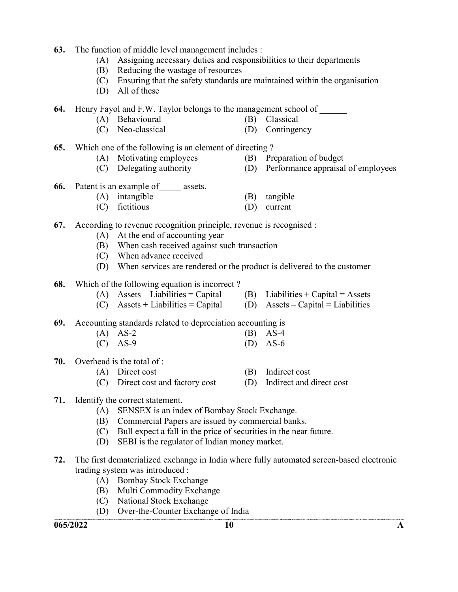- 63. The function of middle level management includes :
	- (A) Assigning necessary duties and responsibilities to their departments
	- (B) Reducing the wastage of resources
	- (C) Ensuring that the safety standards are maintained within the organisation
	- (D) All of these

64. Henry Fayol and F.W. Taylor belongs to the management school of

- (A) Behavioural (B) Classical
- 
- (C) Neo-classical (D) Contingency

65. Which one of the following is an element of directing ?

- (A) Motivating employees (B) Preparation of budget
- 
- 
- (C) Delegating authority (D) Performance appraisal of employees
- 66. Patent is an example of assets.
	- (A) intangible (B) tangible
	- (C) fictitious (D) current
- 67. According to revenue recognition principle, revenue is recognised :
	- (A) At the end of accounting year
	- (B) When cash received against such transaction
	- (C) When advance received
	- (D) When services are rendered or the product is delivered to the customer
- 68. Which of the following equation is incorrect ?
	- (A) Assets Liabilities = Capital (B) Liabilities + Capital = Assets
	- (C) Assets + Liabilities = Capital (D) Assets Capital = Liabilities

69. Accounting standards related to depreciation accounting is

| $(A)$ AS-2 | $(B)$ AS-4 |
|------------|------------|
| $(C)$ AS-9 | $(D)$ AS-6 |

- 70. Overhead is the total of :
	- (A) Direct cost (B) Indirect cost
	- (C) Direct cost and factory cost (D) Indirect and direct cost

### 71. Identify the correct statement.

- (A) SENSEX is an index of Bombay Stock Exchange.
- (B) Commercial Papers are issued by commercial banks.
- (C) Bull expect a fall in the price of securities in the near future.
- (D) SEBI is the regulator of Indian money market.
- 72. The first dematerialized exchange in India where fully automated screen-based electronic trading system was introduced :
	- (A) Bombay Stock Exchange
	- (B) Multi Commodity Exchange
	- (C) National Stock Exchange
	- (D) Over-the-Counter Exchange of India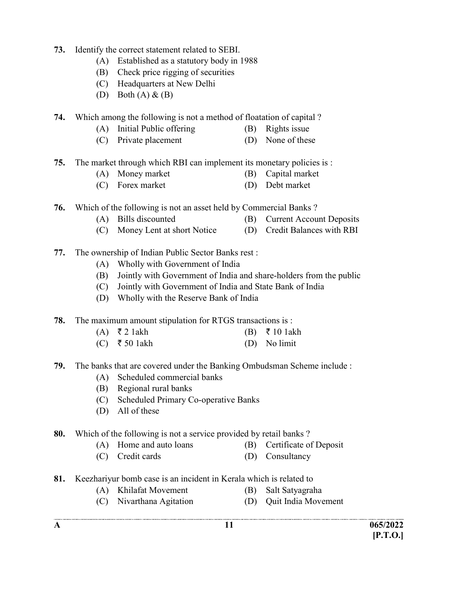- 73. Identify the correct statement related to SEBI.
	- (A) Established as a statutory body in 1988
	- (B) Check price rigging of securities
	- (C) Headquarters at New Delhi
	- (D) Both  $(A) \& (B)$
- 74. Which among the following is not a method of floatation of capital ?
	- (A) Initial Public offering (B) Rights issue
	- (C) Private placement (D) None of these
- 75. The market through which RBI can implement its monetary policies is :
	- (A) Money market (B) Capital market
	- (C) Forex market (D) Debt market
- 76. Which of the following is not an asset held by Commercial Banks ?
	- (A) Bills discounted (B) Current Account Deposits
	- (C) Money Lent at short Notice (D) Credit Balances with RBI
- 77. The ownership of Indian Public Sector Banks rest :
	- (A) Wholly with Government of India
	- (B) Jointly with Government of India and share-holders from the public
	- (C) Jointly with Government of India and State Bank of India
	- (D) Wholly with the Reserve Bank of India
- 78. The maximum amount stipulation for RTGS transactions is :
	- $(A)$  ₹ 2 1akh (B) ₹ 10 1akh
	- $(C) \quad \overline{\mathfrak{k}}$  50 1akh (D) No limit
- 79. The banks that are covered under the Banking Ombudsman Scheme include :
	- (A) Scheduled commercial banks
	- (B) Regional rural banks
	- (C) Scheduled Primary Co-operative Banks
	- (D) All of these
- 80. Which of the following is not a service provided by retail banks ?
	- (A) Home and auto loans (B) Certificate of Deposit
	- (C) Credit cards (D) Consultancy
- 81. Keezhariyur bomb case is an incident in Kerala which is related to
	- (A) Khilafat Movement (B) Salt Satyagraha
		-
	- (C) Nivarthana Agitation (D) Quit India Movement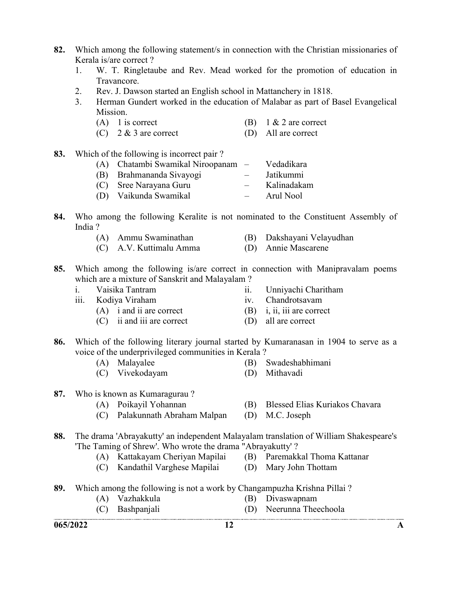- 82. Which among the following statement/s in connection with the Christian missionaries of Kerala is/are correct ?
	- 1. W. T. Ringletaube and Rev. Mead worked for the promotion of education in Travancore.
	- 2. Rev. J. Dawson started an English school in Mattanchery in 1818.
	- 3. Herman Gundert worked in the education of Malabar as part of Basel Evangelical Mission.
		- (A) 1 is correct (B)  $1 \& 2$  are correct
		- (C) 2 & 3 are correct (D) All are correct
- 83. Which of the following is incorrect pair ?

| (A) Chatambi Swamikal Niroopanam – |                          | Vedadikara  |
|------------------------------------|--------------------------|-------------|
| (B) Brahmananda Sivayogi           | $\overline{\phantom{a}}$ | Jatikummi   |
| (C) Sree Narayana Guru             |                          | Kalinadakam |
| (D) Vaikunda Swamikal              |                          | Arul Nool   |

- 84. Who among the following Keralite is not nominated to the Constituent Assembly of India ?
	- (A) Ammu Swaminathan (B) Dakshayani Velayudhan
	- (C) A.V. Kuttimalu Amma (D) Annie Mascarene
- 85. Which among the following is/are correct in connection with Manipravalam poems which are a mixture of Sanskrit and Malayalam ?

| Vaisika Tantram |
|-----------------|
|-----------------|

- iii. Kodiya Viraham iv. Chandrotsavam
	- (A) i and ii are correct (B) i, ii, iii are correct
	- (C) ii and iii are correct (D) all are correct
- 86. Which of the following literary journal started by Kumaranasan in 1904 to serve as a voice of the underprivileged communities in Kerala ?
	- (A) Malayalee (B) Swadeshabhimani
	- (C) Vivekodayam (D) Mithavadi
- 

ii. Unniyachi Charitham

- 
- 87. Who is known as Kumaragurau ?
	- (A) Poikayil Yohannan (B) Blessed Elias Kuriakos Chavara
	- (C) Palakunnath Abraham Malpan (D) M.C. Joseph
- 88. The drama 'Abrayakutty' an independent Malayalam translation of William Shakespeare's 'The Taming of Shrew'. Who wrote the drama "Abrayakutty' ?
	- (A) Kattakayam Cheriyan Mapilai (B) Paremakkal Thoma Kattanar
		-
	- (C) Kandathil Varghese Mapilai (D) Mary John Thottam
- -
- 89. Which among the following is not a work by Changampuzha Krishna Pillai ?
	- (A) Vazhakkula (B) Divaswapnam
		-
	- (C) Bashpanjali (D) Neerunna Theechoola .<br>A contomination des anys any transconversion acceptant de analysis en estatus contomination des anys de contem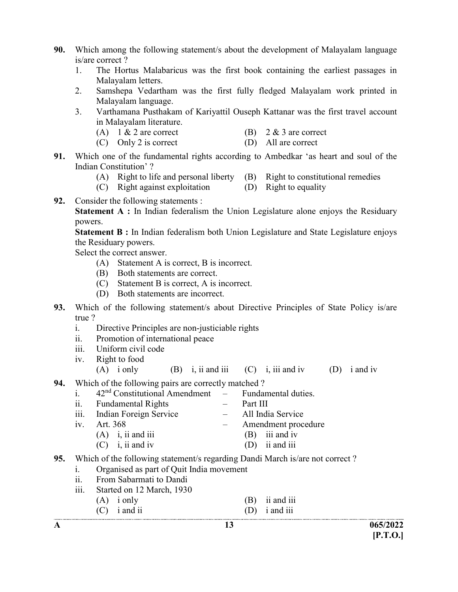- 90. Which among the following statement/s about the development of Malayalam language is/are correct ?
	- 1. The Hortus Malabaricus was the first book containing the earliest passages in Malayalam letters.
	- 2. Samshepa Vedartham was the first fully fledged Malayalam work printed in Malayalam language.
	- 3. Varthamana Pusthakam of Kariyattil Ouseph Kattanar was the first travel account in Malayalam literature.
		- (A)  $1 \& 2$  are correct (B)  $2 \& 3$  are correct
			-
		- (C) Only 2 is correct (D) All are correct
- 91. Which one of the fundamental rights according to Ambedkar 'as heart and soul of the Indian Constitution' ?
	- (A) Right to life and personal liberty (B) Right to constitutional remedies
	- (C) Right against exploitation (D) Right to equality
		-
- 92. Consider the following statements :

Statement A : In Indian federalism the Union Legislature alone enjoys the Residuary powers.

 Statement B : In Indian federalism both Union Legislature and State Legislature enjoys the Residuary powers.

Select the correct answer.

- (A) Statement A is correct, B is incorrect.
- (B) Both statements are correct.
- (C) Statement B is correct, A is incorrect.
- (D) Both statements are incorrect.
- 93. Which of the following statement/s about Directive Principles of State Policy is/are true ?
	- i. Directive Principles are non-justiciable rights
	- ii. Promotion of international peace
	- iii. Uniform civil code
	- iv. Right to food
		- (A) i only (B) i, ii and iii (C) i, iii and iv (D) i and iv
- 94. Which of the following pairs are correctly matched ?
	- i.  $42<sup>nd</sup>$  Constitutional Amendment Fundamental duties.
	- ii. Fundamental Rights Part III
	- iii. Indian Foreign Service All India Service
	- iv. Art. 368 Amendment procedure
		- (A) i, ii and iii (B) iii and iv
		- (C) i, ii and iv (D) ii and iii
- 95. Which of the following statement/s regarding Dandi March is/are not correct ?
	- i. Organised as part of Quit India movement
	- ii. From Sabarmati to Dandi
	- iii. Started on 12 March, 1930
		- (A) i only (B) ii and iii (C) i and ii (D) i and iii
			-

- A  $13$  065/2022  $[P.T.O.]$
-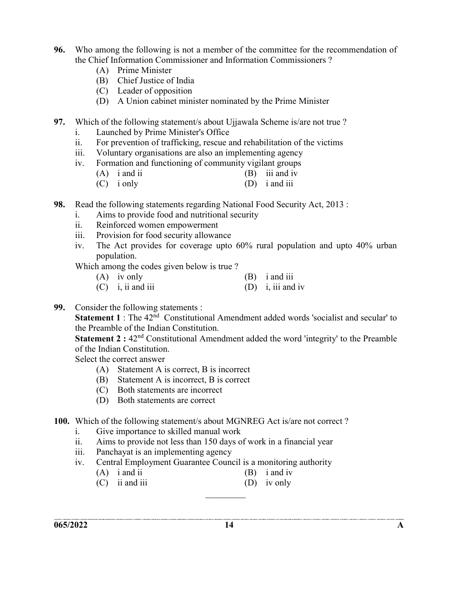- 96. Who among the following is not a member of the committee for the recommendation of the Chief Information Commissioner and Information Commissioners ?
	- (A) Prime Minister
	- (B) Chief Justice of India
	- (C) Leader of opposition
	- (D) A Union cabinet minister nominated by the Prime Minister
- 97. Which of the following statement/s about Ujjawala Scheme is/are not true ?
	- i. Launched by Prime Minister's Office
	- ii. For prevention of trafficking, rescue and rehabilitation of the victims
	- iii. Voluntary organisations are also an implementing agency
	- iv. Formation and functioning of community vigilant groups
		- (A) i and ii (B) iii and iv
		- (C) i only (D) i and iii
- 98. Read the following statements regarding National Food Security Act, 2013 :
	- i. Aims to provide food and nutritional security
	- ii. Reinforced women empowerment
	- iii. Provision for food security allowance
	- iv. The Act provides for coverage upto 60% rural population and upto 40% urban population.
	- Which among the codes given below is true ?
		- (A) iv only (B) i and iii  $(C)$  i, ii and iii  $(D)$  i, iii and iv
- 99. Consider the following statements :

**Statement 1** : The  $42<sup>nd</sup>$  Constitutional Amendment added words 'socialist and secular' to the Preamble of the Indian Constitution.

**Statement 2 :**  $42<sup>nd</sup>$  Constitutional Amendment added the word 'integrity' to the Preamble of the Indian Constitution.

Select the correct answer

- (A) Statement A is correct, B is incorrect
- (B) Statement A is incorrect, B is correct
- (C) Both statements are incorrect
- (D) Both statements are correct
- 100. Which of the following statement/s about MGNREG Act is/are not correct ?
	- i. Give importance to skilled manual work
	- ii. Aims to provide not less than 150 days of work in a financial year
	- iii. Panchayat is an implementing agency
	- iv. Central Employment Guarantee Council is a monitoring authority
		- (A) i and ii (B) i and iv
		- (C) ii and iii (D) iv only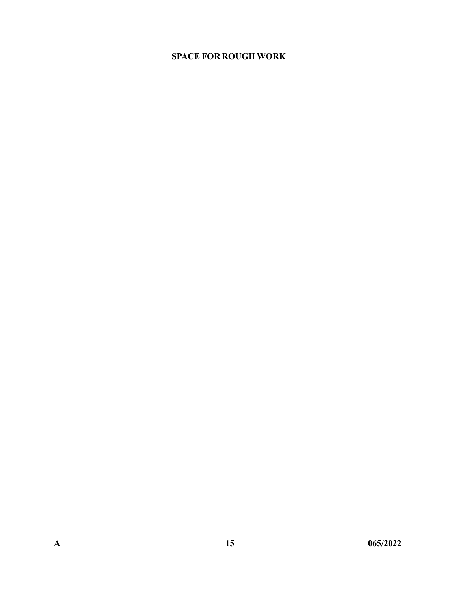#### SPACE FOR ROUGH WORK